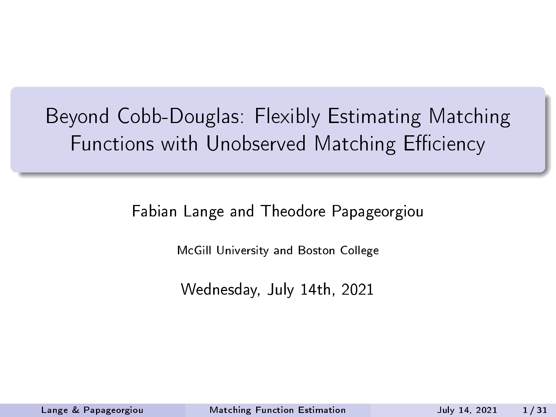### <span id="page-0-0"></span>Beyond Cobb-Douglas: Flexibly Estimating Matching Functions with Unobserved Matching Efficiency

Fabian Lange and Theodore Papageorgiou

McGill University and Boston College

Wednesday, July 14th, 2021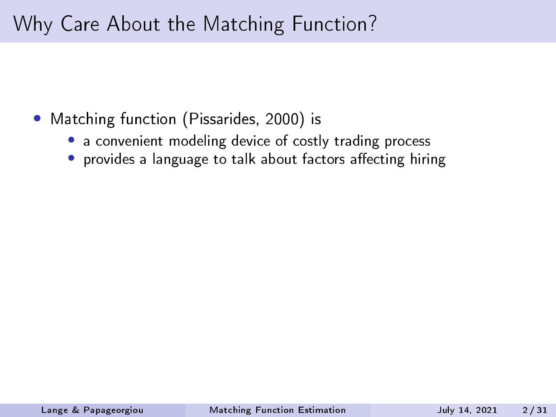#### Why Care About the Matching Function?

- Matching function (Pissarides, 2000) is
	- a convenient modeling device of costly trading process
	- provides a language to talk about factors affecting hiring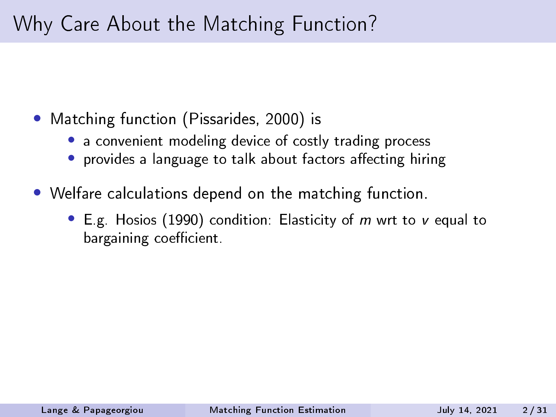#### Why Care About the Matching Function?

- Matching function (Pissarides, 2000) is
	- a convenient modeling device of costly trading process
	- provides a language to talk about factors affecting hiring
- Welfare calculations depend on the matching function.
	- E.g. Hosios (1990) condition: Elasticity of m wrt to v equal to bargaining coefficient.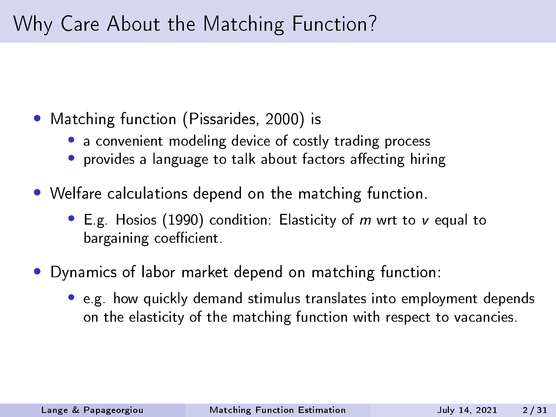#### Why Care About the Matching Function?

- Matching function (Pissarides, 2000) is
	- a convenient modeling device of costly trading process
	- provides a language to talk about factors affecting hiring
- Welfare calculations depend on the matching function.
	- E.g. Hosios (1990) condition: Elasticity of m wrt to v equal to bargaining coefficient.
- Dynamics of labor market depend on matching function:
	- e.g. how quickly demand stimulus translates into employment depends on the elasticity of the matching function with respect to vacancies.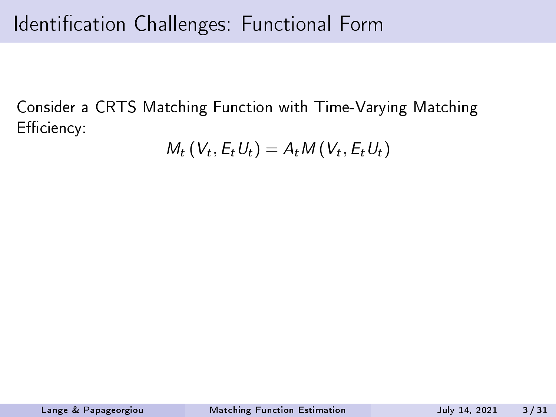Consider a CRTS Matching Function with Time-Varying Matching Efficiency:

$$
M_t(V_t, E_t U_t) = A_t M(V_t, E_t U_t)
$$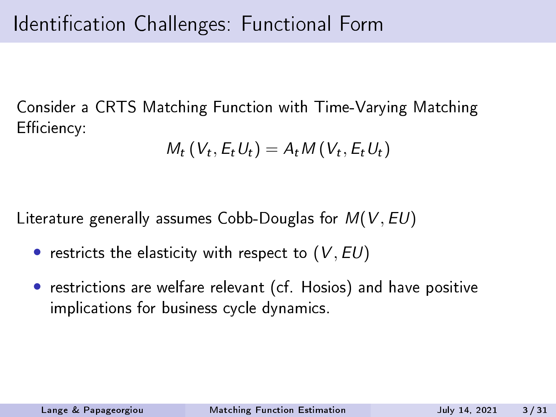Consider a CRTS Matching Function with Time-Varying Matching Efficiency:

$$
M_t(V_t, E_t U_t) = A_t M(V_t, E_t U_t)
$$

Literature generally assumes Cobb-Douglas for  $M(V, EU)$ 

- restricts the elasticity with respect to  $(V, EU)$
- restrictions are welfare relevant (cf. Hosios) and have positive implications for business cycle dynamics.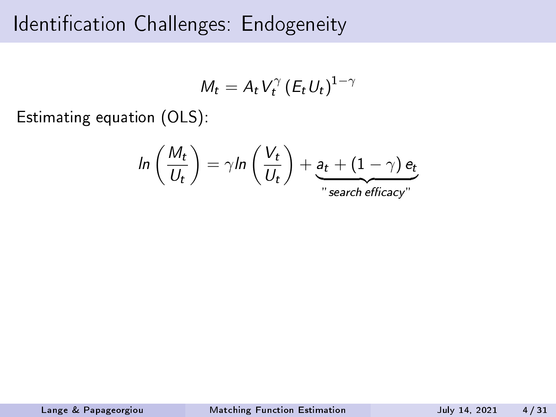#### Identification Challenges: Endogeneity

$$
M_t = A_t V_t^{\gamma} (E_t U_t)^{1-\gamma}
$$

Estimating equation (OLS):

$$
ln\left(\frac{M_t}{U_t}\right) = \gamma ln\left(\frac{V_t}{U_t}\right) + \underbrace{a_t + (1-\gamma) e_t}_{\text{"search efficiency"}}
$$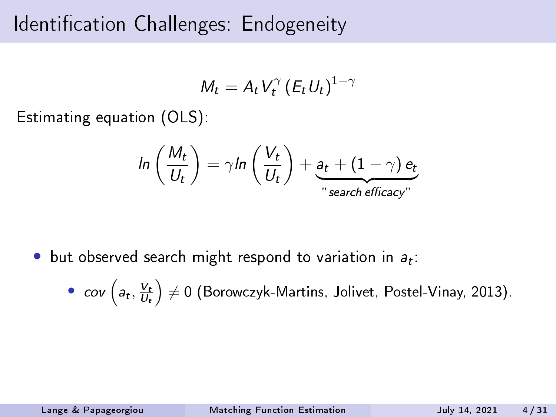#### Identification Challenges: Endogeneity

$$
M_t = A_t V_t^{\gamma} (E_t U_t)^{1-\gamma}
$$

Estimating equation (OLS):

$$
ln\left(\frac{M_t}{U_t}\right) = \gamma ln\left(\frac{V_t}{U_t}\right) + \underbrace{a_t + (1-\gamma) e_t}_{\text{"search efficiency"}}
$$

 $\bullet$  but observed search might respond to variation in  $a_t$ :

•  $cov\left(a_t, \frac{V_t}{U_t}\right) \neq 0$  (Borowczyk-Martins, Jolivet, Postel-Vinay, 2013).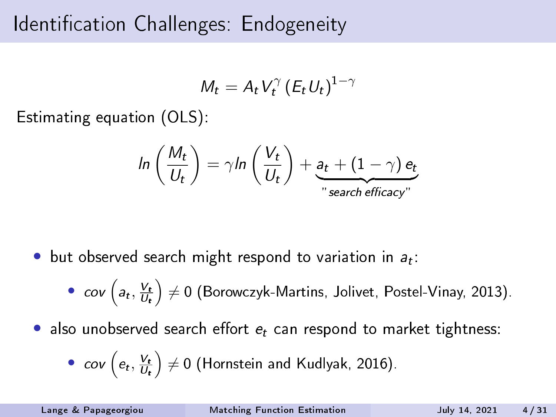#### Identification Challenges: Endogeneity

$$
M_t = A_t V_t^{\gamma} (E_t U_t)^{1-\gamma}
$$

Estimating equation (OLS):

$$
ln\left(\frac{M_t}{U_t}\right) = \gamma ln\left(\frac{V_t}{U_t}\right) + \underbrace{a_t + (1-\gamma) e_t}_{\text{``search efficiency''}}
$$

- $\bullet$  but observed search might respond to variation in  $a_t$ :
	- $cov\left(a_t, \frac{V_t}{U_t}\right) \neq 0$  (Borowczyk-Martins, Jolivet, Postel-Vinay, 2013).
- also unobserved search effort  $e_t$  can respond to market tightness:

• cov 
$$
(e_t, \frac{V_t}{U_t}) \neq 0
$$
 (Hornstein and Kudlyak, 2016).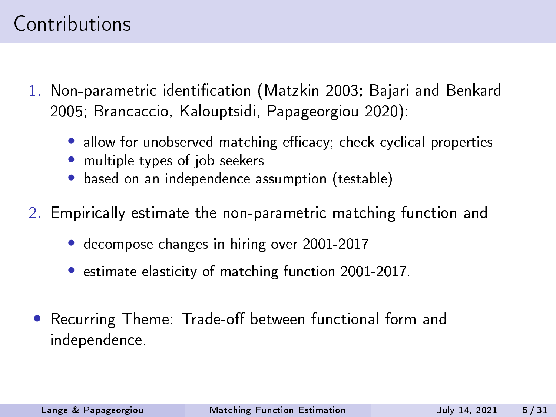#### Contributions

- 1. Non-parametric identification (Matzkin 2003; Bajari and Benkard 2005; Brancaccio, Kalouptsidi, Papageorgiou 2020):
	- $\bullet$  allow for unobserved matching efficacy; check cyclical properties
	- multiple types of job-seekers
	- based on an independence assumption (testable)
- 2. Empirically estimate the non-parametric matching function and
	- decompose changes in hiring over 2001-2017
	- estimate elasticity of matching function 2001-2017.
	- Recurring Theme: Trade-off between functional form and independence.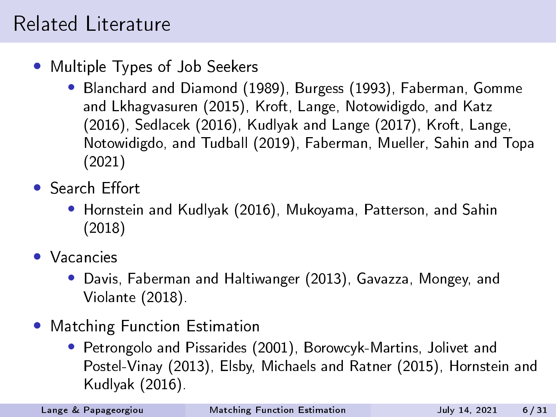#### Related Literature

- Multiple Types of Job Seekers
	- Blanchard and Diamond (1989), Burgess (1993), Faberman, Gomme and Lkhagvasuren (2015), Kroft, Lange, Notowidigdo, and Katz (2016), Sedlacek (2016), Kudlyak and Lange (2017), Kroft, Lange, Notowidigdo, and Tudball (2019), Faberman, Mueller, Sahin and Topa (2021)
- Search Effort
	- Hornstein and Kudlyak (2016), Mukoyama, Patterson, and Sahin (2018)
- Vacancies
	- Davis, Faberman and Haltiwanger (2013), Gavazza, Mongey, and Violante (2018).
- Matching Function Estimation
	- Petrongolo and Pissarides (2001), Borowcyk-Martins, Jolivet and Postel-Vinay (2013), Elsby, Michaels and Ratner (2015), Hornstein and Kudlyak (2016).

Lange & Papageorgiou [Matching Function Estimation](#page-0-0) July 14, 2021 6 / 31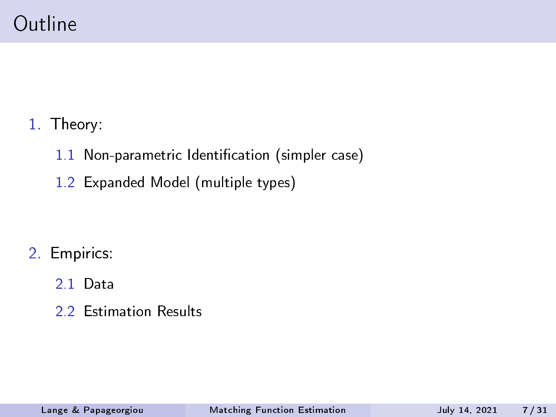- 1. Theory:
	- 1.1 Non-parametric Identification (simpler case)
	- 1.2 Expanded Model (multiple types)

- 2. Empirics:
	- 2.1 Data
	- 2.2 Estimation Results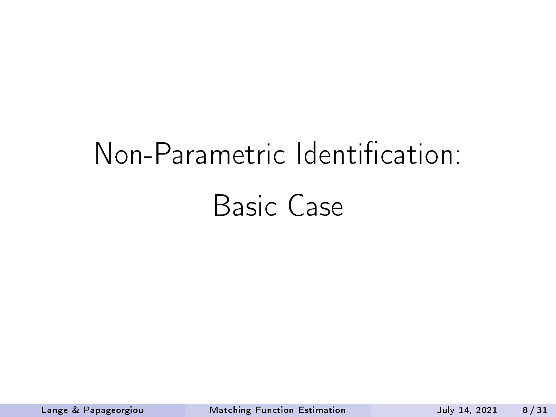# Non-Parametric Identification: Basic Case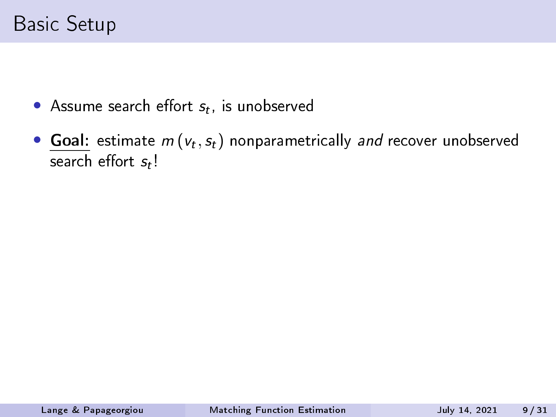- Assume search effort  $s_t$ , is unobserved
- Goal: estimate  $m\left(v_t, s_t\right)$  nonparametrically and recover unobserved search effort  $s_t$ !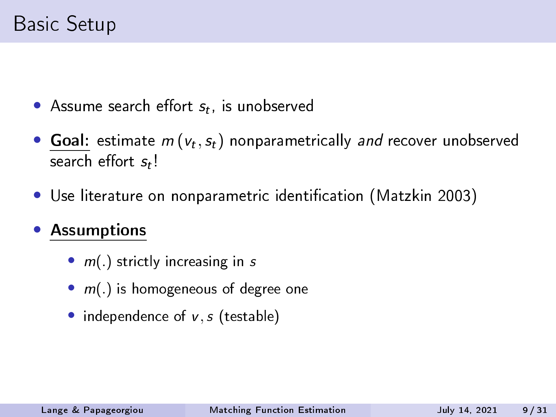- Assume search effort  $s_t$ , is unobserved
- Goal: estimate  $m\left(v_t, s_t\right)$  nonparametrically and recover unobserved search effort  $s_t$ !
- Use literature on nonparametric identification (Matzkin 2003)

#### **Assumptions**

- $m(.)$  strictly increasing in s
- $m(.)$  is homogeneous of degree one
- independence of  $v, s$  (testable)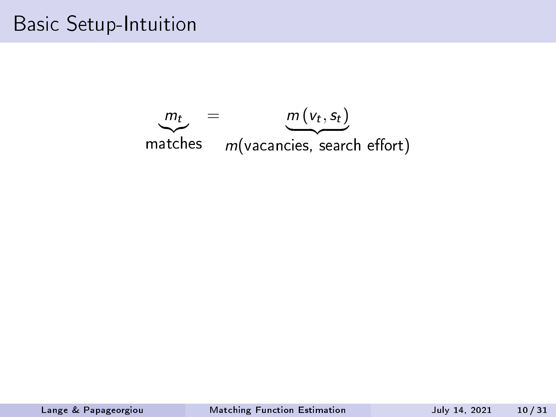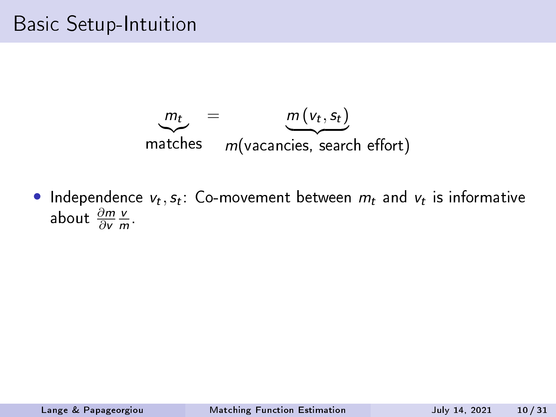$$
m_t = m(v_t, s_t)
$$
  
matches  $m(\text{vacancies, search effort})$ 

• Independence  $v_t, s_t$ : Co-movement between  $m_t$  and  $v_t$  is informative about  $\frac{\partial m}{\partial v}$ v  $\frac{V}{m}$ .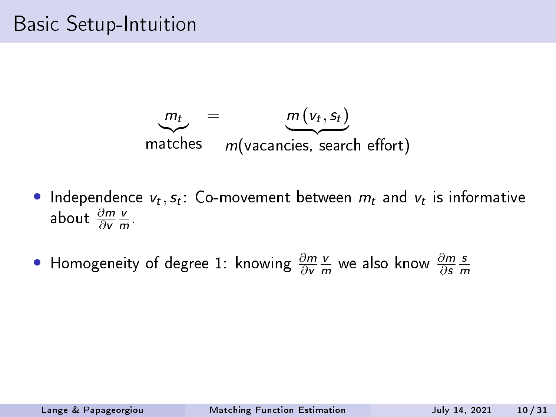$$
m_t = m(v_t, s_t)
$$
  
matches  $m(\text{vacancies, search effort})$ 

• Independence  $v_t, s_t$ : Co-movement between  $m_t$  and  $v_t$  is informative about  $\frac{\partial m}{\partial v}$ v  $\frac{V}{m}$ .

• Homogeneity of degree 1: knowing  $\frac{\partial m}{\partial \mathbf{v}}$ v  $\frac{\nu}{m}$  we also know  $\frac{\partial m}{\partial s}$ s m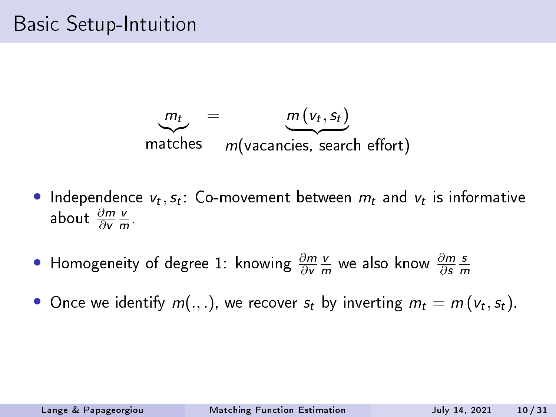$$
m_t = m(v_t, s_t)
$$
  
matches  $m(\text{vacancies, search effort})$ 

• Independence  $v_t, s_t$ : Co-movement between  $m_t$  and  $v_t$  is informative about  $\frac{\partial m}{\partial v}$ v  $\frac{V}{m}$ .

- Homogeneity of degree 1: knowing  $\frac{\partial m}{\partial \mathbf{v}}$ v  $\frac{\nu}{m}$  we also know  $\frac{\partial m}{\partial s}$ s m
- Once we identify  $m(.,.),$  we recover  $s_t$  by inverting  $m_t = m(v_t, s_t)$ .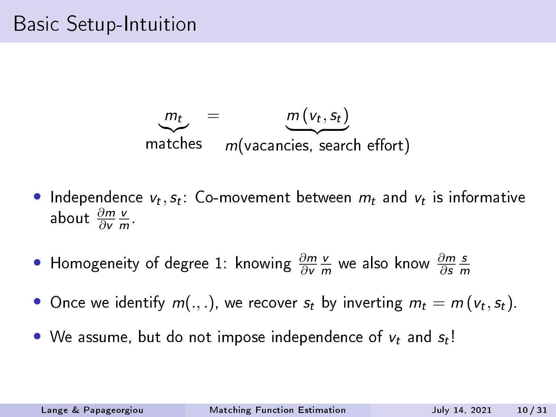$$
m_t = m(v_t, s_t)
$$
  
matches  $m(\text{vacancies, search effort})$ 

• Independence  $v_t, s_t$ : Co-movement between  $m_t$  and  $v_t$  is informative about  $\frac{\partial m}{\partial v}$ v  $\frac{V}{m}$ .

- Homogeneity of degree 1: knowing  $\frac{\partial m}{\partial \mathbf{v}}$ v  $\frac{\nu}{m}$  we also know  $\frac{\partial m}{\partial s}$ s m
- Once we identify  $m(.,.),$  we recover  $s_t$  by inverting  $m_t = m(v_t, s_t)$ .
- We assume, but do not impose independence of  $v_t$  and  $s_t$ !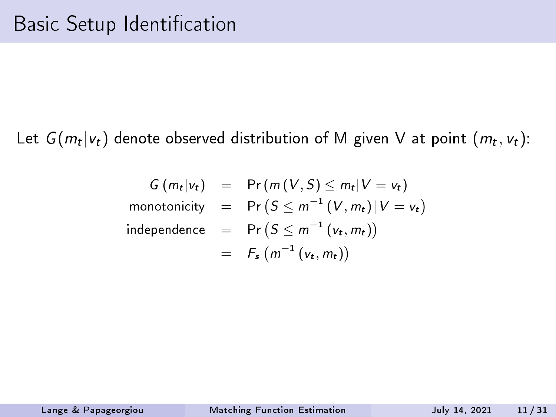Let  $G(m_t|v_t)$  denote observed distribution of M given V at point  $(m_t, v_t)$ :

$$
G(m_t|v_t) = Pr(m(V, S) \le m_t|V = v_t)
$$
  
monotonicity = Pr(S \le m<sup>-1</sup>(V, m\_t)|V = v\_t)  
independence = Pr(S \le m<sup>-1</sup>(v\_t, m\_t))  
= F<sub>s</sub>(m<sup>-1</sup>(v\_t, m\_t))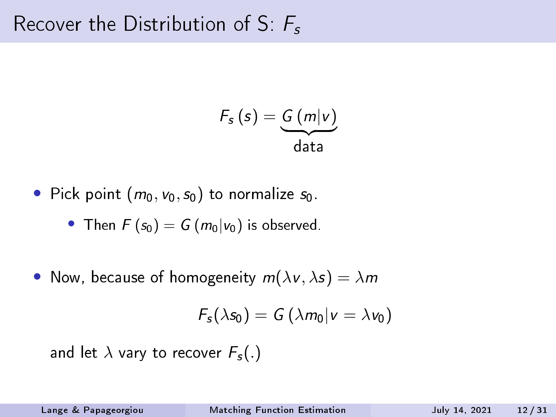#### Recover the Distribution of S:  $F_s$

$$
F_s(s) = \underbrace{G(m|v)}_{\text{data}}
$$

• Pick point 
$$
(m_0, v_0, s_0)
$$
 to normalize  $s_0$ .

• Then 
$$
F(s_0) = G(m_0|v_0)
$$
 is observed.

• Now, because of homogeneity  $m(\lambda v, \lambda s) = \lambda m$ 

$$
F_s(\lambda s_0) = G(\lambda m_0|v = \lambda v_0)
$$

and let  $\lambda$  vary to recover  $F_s(.)$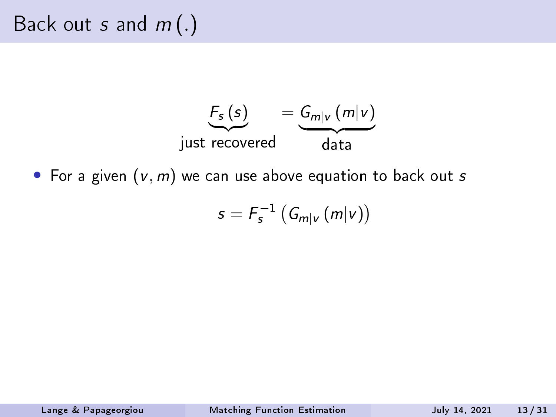

• For a given  $(v, m)$  we can use above equation to back out s

$$
s=F_s^{-1}\left(G_{m|v}(m|v)\right)
$$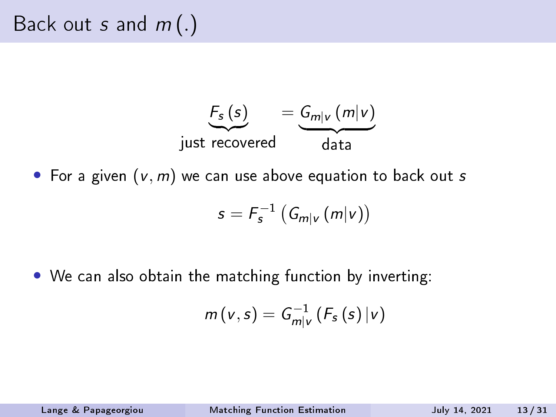

• For a given  $(v, m)$  we can use above equation to back out s

$$
s=F_s^{-1}\left(G_{m|v}(m|v)\right)
$$

• We can also obtain the matching function by inverting:

$$
m(v,s) = G_{m|v}^{-1}(F_s(s)|v)
$$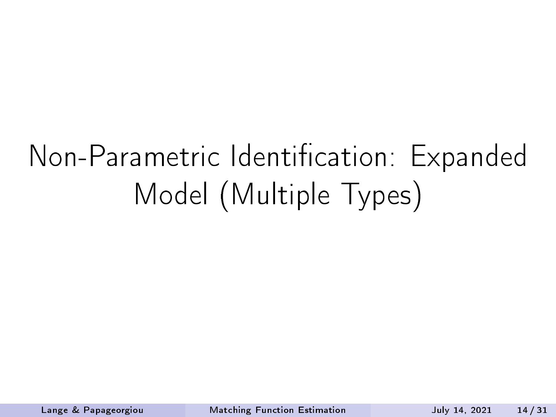## Non-Parametric Identification: Expanded Model (Multiple Types)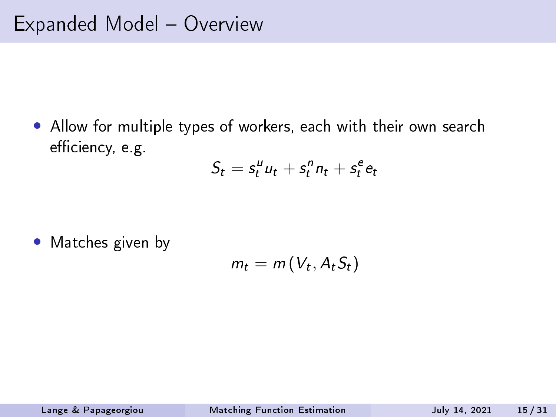• Allow for multiple types of workers, each with their own search efficiency, e.g.

$$
S_t = s_t^u u_t + s_t^n n_t + s_t^e e_t
$$

• Matches given by

$$
m_t = m(V_t, A_t S_t)
$$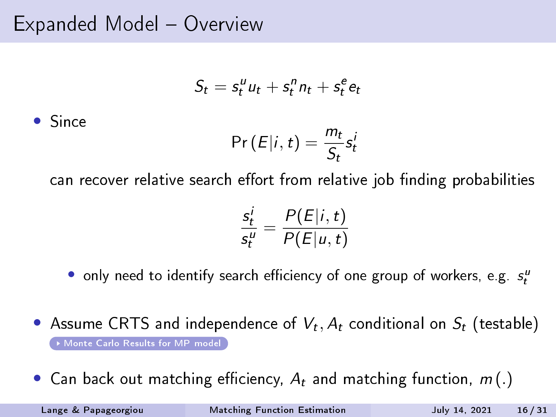Expanded Model - Overview

$$
S_t = s_t^u u_t + s_t^n n_t + s_t^e e_t
$$

• Since

$$
\Pr(E|i,t) = \frac{m_t}{S_t} s_t^i
$$

can recover relative search effort from relative job finding probabilities

$$
\frac{s_t^i}{s_t^u} = \frac{P(E|i,t)}{P(E|u,t)}
$$

 $\bullet$  only need to identify search efficiency of one group of workers, e.g.  $s_t^u$ 

- Assume CRTS and independence of  $V_t$ ,  $A_t$  conditional on  $S_t$  (testable) [Monte Carlo Results for MP model](#page-45-0)
- Can back out matching efficiency,  $A_t$  and matching function,  $m(.)$

Lange & Papageorgiou [Matching Function Estimation](#page-0-0) July 14, 2021 16 / 31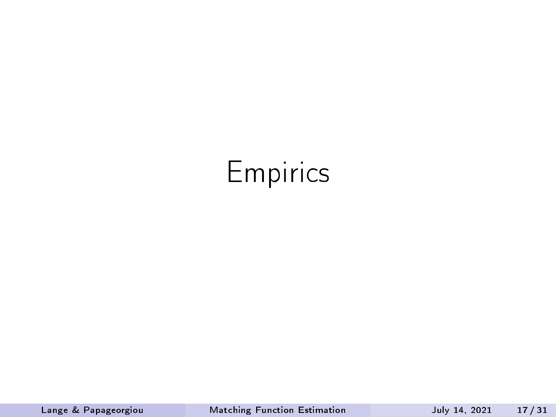### Empirics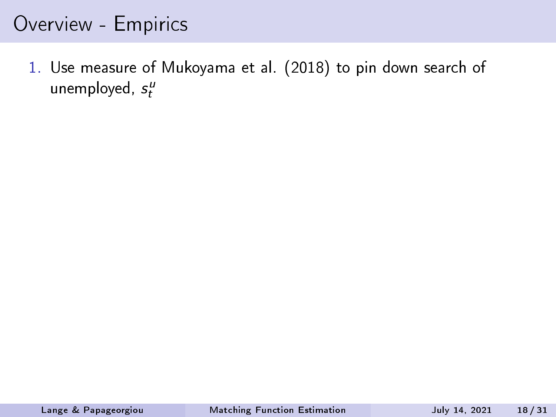#### Overview - Empirics

1. Use measure of Mukoyama et al. (2018) to pin down search of unemployed,  $s_t^{\mu}$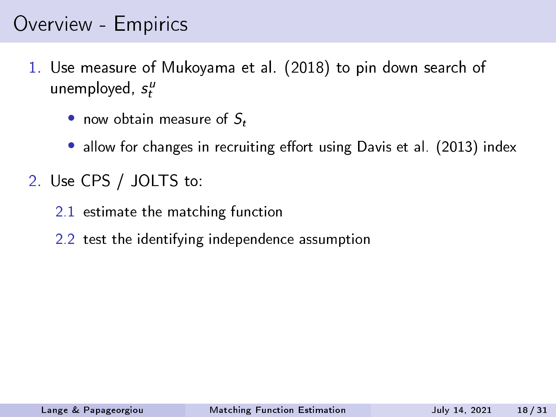#### Overview - Empirics

- 1. Use measure of Mukoyama et al. (2018) to pin down search of unemployed,  $s_t^{\mu}$ 
	- now obtain measure of  $S_t$
	- allow for changes in recruiting effort using Davis et al. (2013) index
- 2. Use CPS / JOLTS to:
	- 2.1 estimate the matching function
	- 2.2 test the identifying independence assumption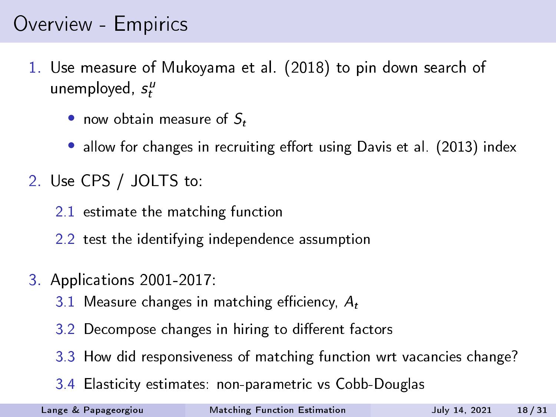#### Overview - Empirics

- 1. Use measure of Mukoyama et al. (2018) to pin down search of unemployed,  $s_t^{\mu}$ 
	- now obtain measure of  $S_t$
	- allow for changes in recruiting effort using Davis et al. (2013) index
- 2. Use CPS / JOLTS to:
	- 2.1 estimate the matching function
	- 2.2 test the identifying independence assumption
- 3. Applications 2001-2017:
	- 3.1 Measure changes in matching efficiency,  $A_t$
	- 3.2 Decompose changes in hiring to different factors
	- 3.3 How did responsiveness of matching function wrt vacancies change?
	- 3.4 Elasticity estimates: non-parametric vs Cobb-Douglas

Lange & Papageorgiou [Matching Function Estimation](#page-0-0) July 14, 2021 18 / 31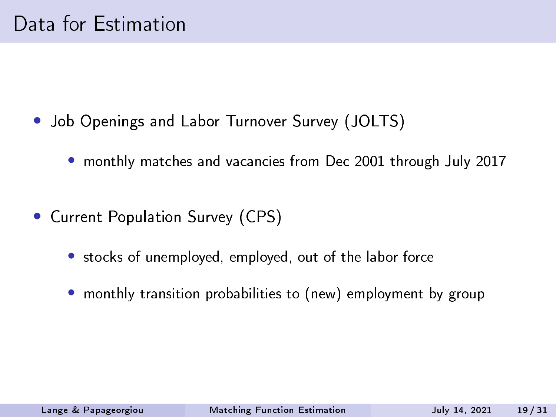- Job Openings and Labor Turnover Survey (JOLTS)
	- monthly matches and vacancies from Dec 2001 through July 2017
- Current Population Survey (CPS)
	- stocks of unemployed, employed, out of the labor force
	- monthly transition probabilities to (new) employment by group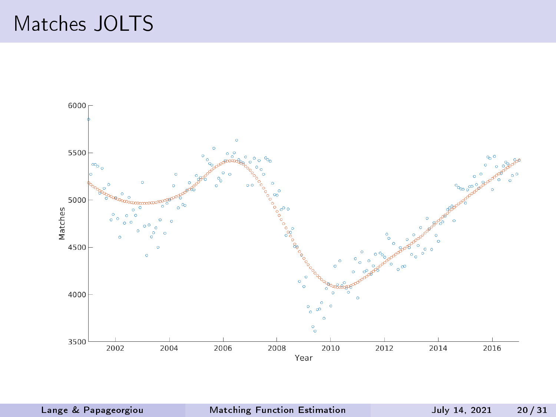#### Matches JOLTS



Lange & Papageorgiou [Matching Function Estimation](#page-0-0) July 14, 2021 20 / 31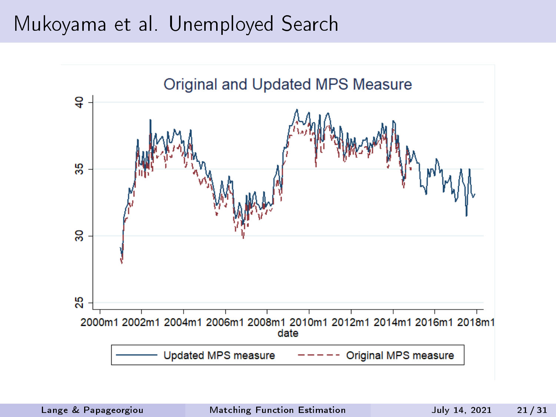#### Mukoyama et al. Unemployed Search

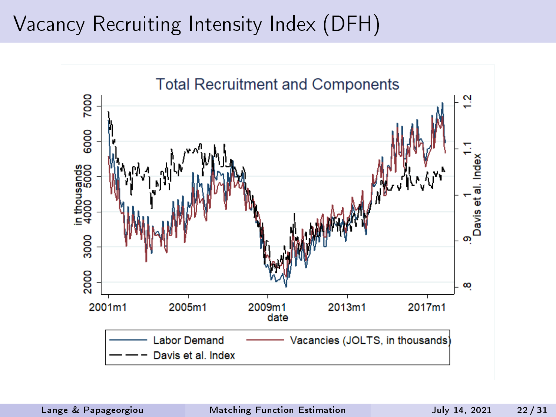#### Vacancy Recruiting Intensity Index (DFH)

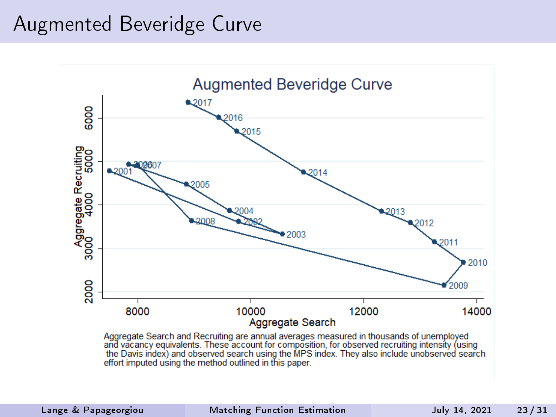#### Augmented Beveridge Curve



Aggregate Search and Recruiting are annual averages measured in thousands of unemployed<br>and vacancy equivalents. These account for composition, for observed recruiting intensity (using the Davis index) and observed search using the MPS index. They also include unobserved search effort imputed using the method outlined in this paper.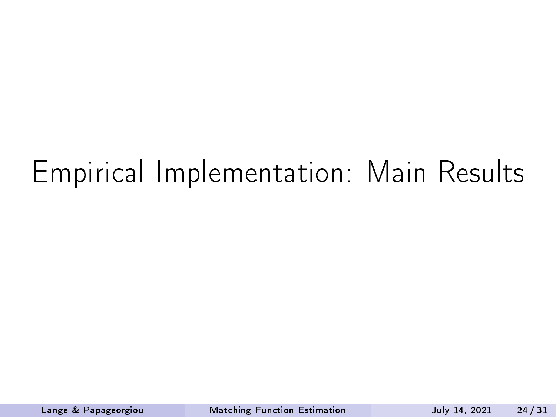## Empirical Implementation: Main Results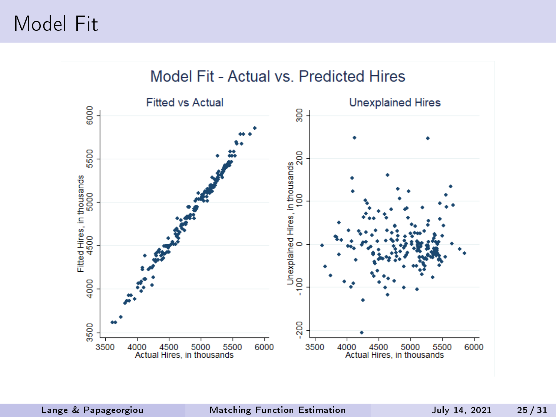#### Model Fit

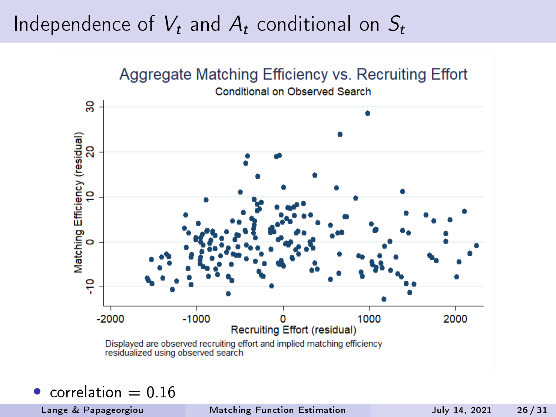#### Independence of  $V_t$  and  $A_t$  conditional on  $S_t$



correlation  $= 0.16$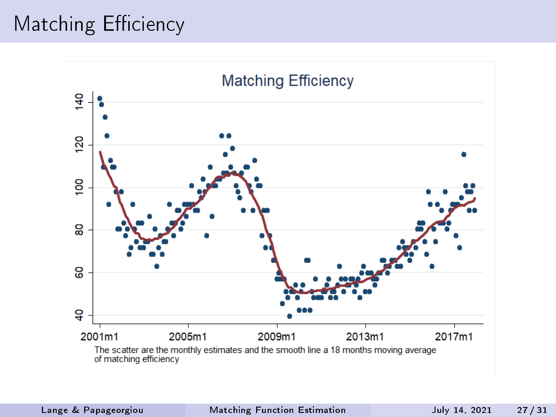#### Matching Efficiency

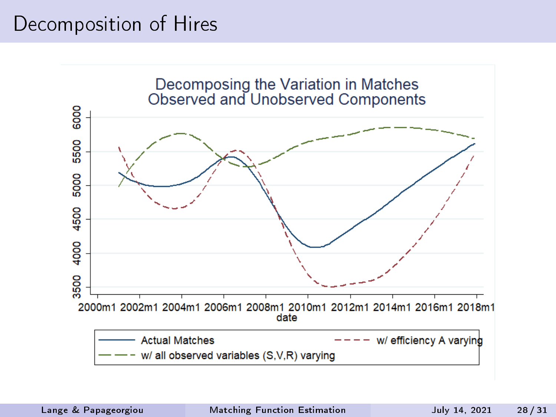#### Decomposition of Hires

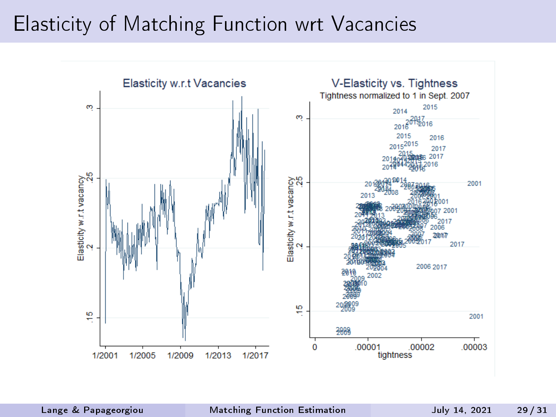#### Elasticity of Matching Function wrt Vacancies

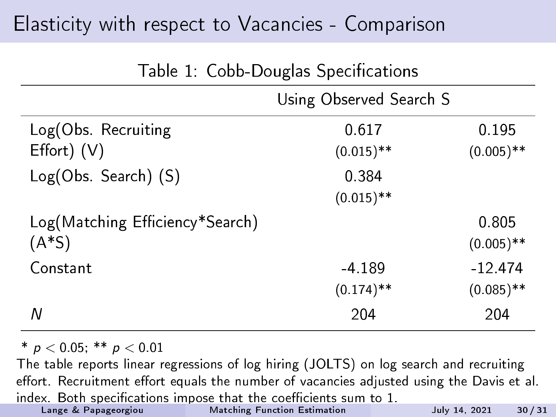#### Elasticity with respect to Vacancies - Comparison

| rapic 1. Copp Douglas opeenications |                         |              |
|-------------------------------------|-------------------------|--------------|
|                                     | Using Observed Search S |              |
| Log(Obs Recruiting                  | 0 6 1 7                 | 0.195        |
| $Effort)$ $(V)$                     | $(0.015)$ **            | $(0.005)$ ** |
| Log(Obs. Search) (S)                | 0.384                   |              |
|                                     | $(0.015)$ **            |              |
| Log(Matching Efficiency*Search)     |                         | 0.805        |
| $(A*S)$                             |                         | $(0.005)$ ** |
| Constant                            | $-4.189$                | $-12.474$    |
|                                     | $(0.174)$ **            | $(0.085)$ ** |
| Ν                                   | 204                     | 204          |

Table 1: Cobb-Douglas Specications

 $*$  p < 0.05;  $**$  p < 0.01

The table reports linear regressions of log hiring (JOLTS) on log search and recruiting effort. Recruitment effort equals the number of vacancies adjusted using the Davis et al. index. Both specifications impose that the coefficients sum to  $1$ .<br>Lange & Papageorgiou Matching Function Estimation In column 1, observed search equals the total number of job seekers expressed in [Matching Function Estimation](#page-0-0) **Matching Function** Estimation July 14, 2021 30 / 31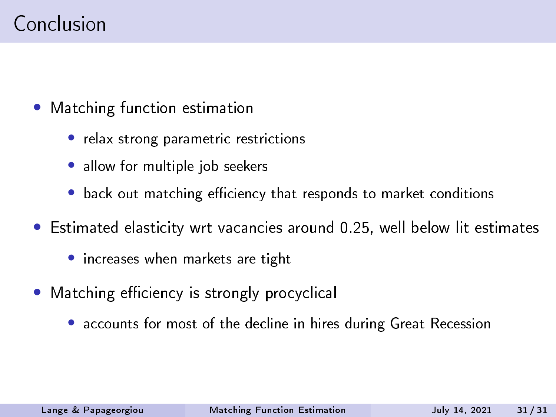- Matching function estimation
	- relax strong parametric restrictions
	- allow for multiple job seekers
	- back out matching efficiency that responds to market conditions
- Estimated elasticity wrt vacancies around 0.25, well below lit estimates
	- increases when markets are tight
- Matching efficiency is strongly procyclical
	- accounts for most of the decline in hires during Great Recession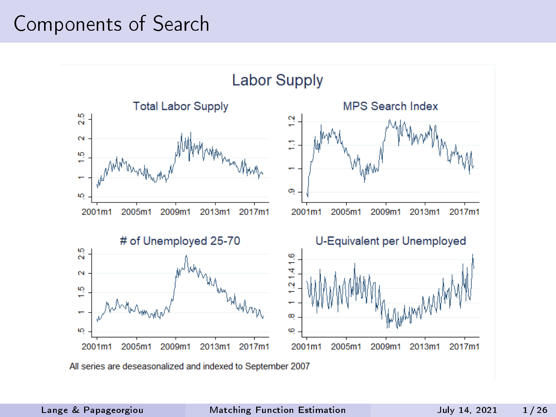#### Components of Search

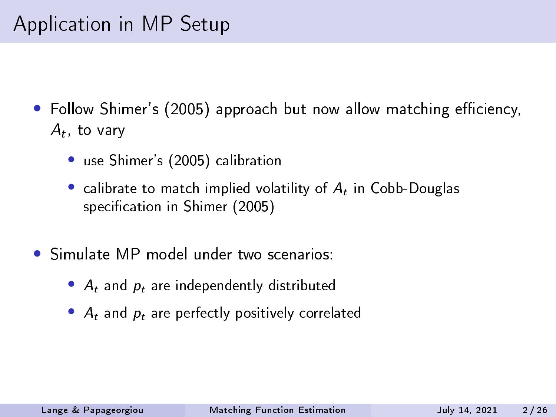- Follow Shimer's (2005) approach but now allow matching efficiency,  $A_t$ , to vary
	- use Shimer's (2005) calibration
	- calibrate to match implied volatility of  $A_t$  in Cobb-Douglas specification in Shimer (2005)
- Simulate MP model under two scenarios:
	- $A_t$  and  $p_t$  are independently distributed
	- $A_t$  and  $p_t$  are perfectly positively correlated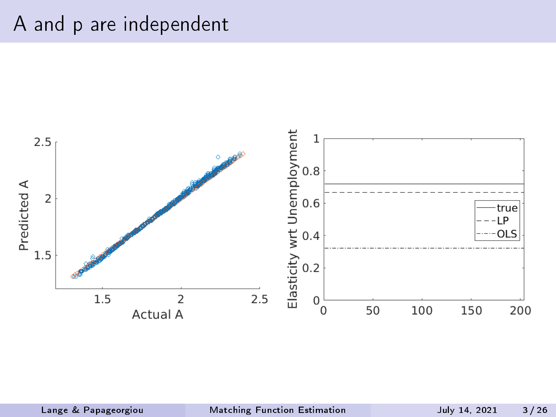#### A and p are independent

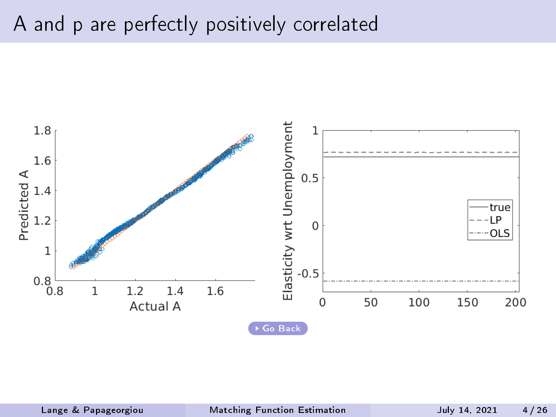#### A and p are perfectly positively correlated

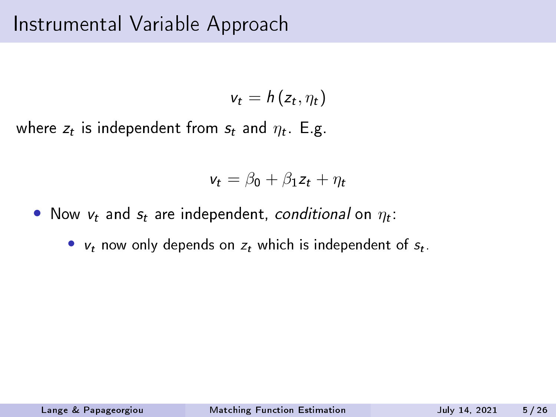$$
v_t = h(z_t, \eta_t)
$$

where  $z_t$  is independent from  $s_t$  and  $\eta_t$  . E.g.

$$
v_t = \beta_0 + \beta_1 z_t + \eta_t
$$

- Now  $v_t$  and  $s_t$  are independent, conditional on  $\eta_t$ :
	- $v_t$  now only depends on  $z_t$  which is independent of  $s_t$ .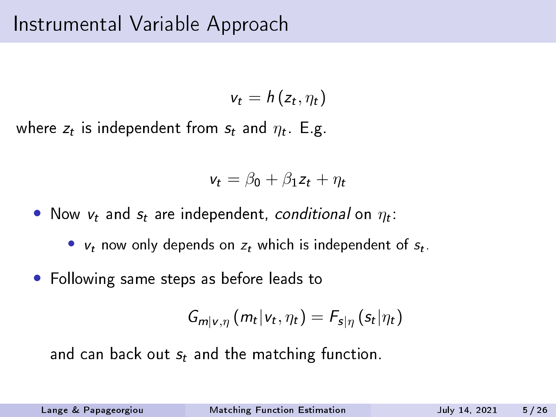$$
v_t = h(z_t, \eta_t)
$$

where  $z_t$  is independent from  $s_t$  and  $\eta_t$  . E.g.

$$
v_t = \beta_0 + \beta_1 z_t + \eta_t
$$

• Now  $v_t$  and  $s_t$  are independent, conditional on  $\eta_t$ :

•  $v_t$  now only depends on  $z_t$  which is independent of  $s_t$ .

• Following same steps as before leads to

$$
G_{m|v,\eta}(m_t|v_t,\eta_t)=F_{s|\eta}(s_t|\eta_t)
$$

and can back out  $s_t$  and the matching function.

Lange & Papageorgiou [Matching Function Estimation](#page-0-0) July 14, 2021 5 / 26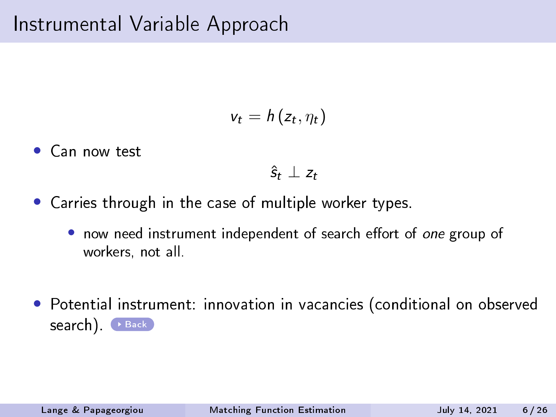#### Instrumental Variable Approach

$$
v_t = h(z_t, \eta_t)
$$

Can now test

 $\hat{s}_t \perp z_t$ 

- Carries through in the case of multiple worker types.
	- now need instrument independent of search effort of one group of workers, not all.
- Potential instrument: innovation in vacancies (conditional on observed search). **[Back](#page-25-0)**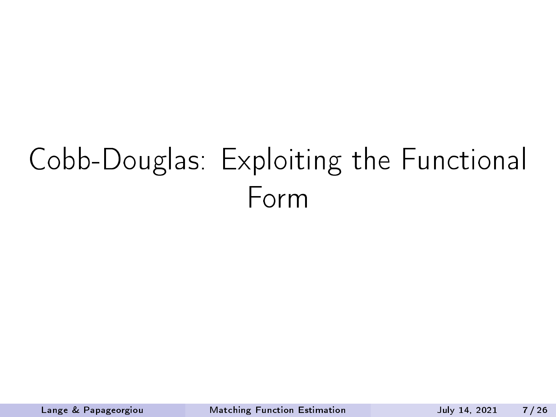# Cobb-Douglas: Exploiting the Functional Form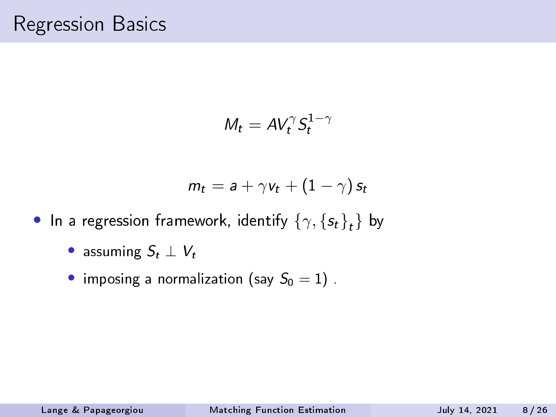$$
M_t = AV_t^{\gamma} S_t^{1-\gamma}
$$

$$
m_t = a + \gamma v_t + (1-\gamma) s_t
$$

- $\bullet$  In a regression framework, identify  $\left\{\gamma,\left\{s_t\right\}_t\right\}$  by
	- assuming  $S_t \perp V_t$
	- imposing a normalization (say  $S_0 = 1$ ).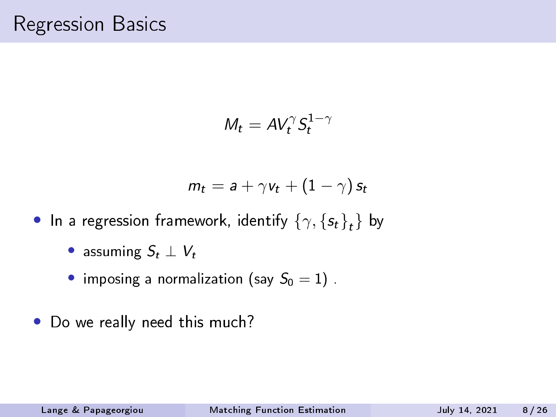$$
M_t = AV_t^{\gamma} S_t^{1-\gamma}
$$

$$
m_t = a + \gamma v_t + (1 - \gamma) s_t
$$

- $\bullet$  In a regression framework, identify  $\left\{\gamma,\left\{s_t\right\}_t\right\}$  by
	- assuming  $S_t \perp V_t$
	- imposing a normalization (say  $S_0 = 1$ ).
- Do we really need this much?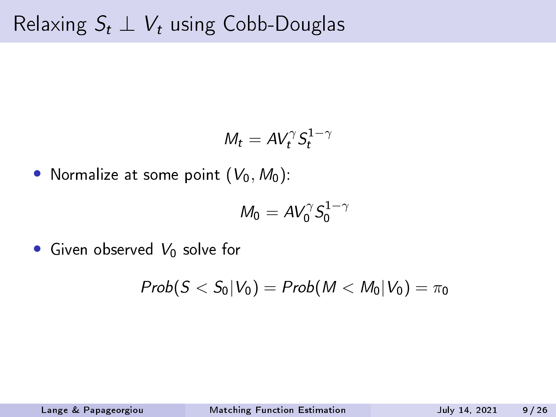$$
M_t = AV_t^{\gamma} S_t^{1-\gamma}
$$

• Normalize at some point  $(V_0, M_0)$ :

$$
M_0 = AV_0^\gamma S_0^{1-\gamma}
$$

• Given observed  $V_0$  solve for

$$
Prob(S
$$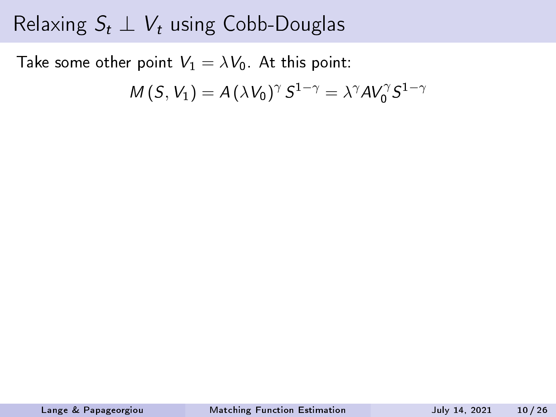Take some other point  $V_1 = \lambda V_0$ . At this point:

$$
M(S, V_1) = A(\lambda V_0)^{\gamma} S^{1-\gamma} = \lambda^{\gamma} A V_0^{\gamma} S^{1-\gamma}
$$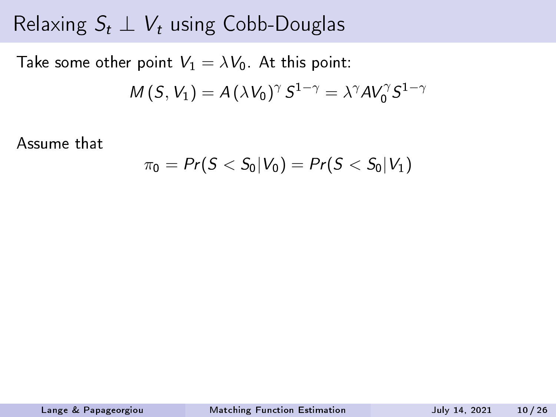Take some other point  $V_1 = \lambda V_0$ . At this point:

$$
M(S, V_1) = A(\lambda V_0)^{\gamma} S^{1-\gamma} = \lambda^{\gamma} A V_0^{\gamma} S^{1-\gamma}
$$

Assume that

$$
\pi_0 = Pr(S < S_0 | V_0) = Pr(S < S_0 | V_1)
$$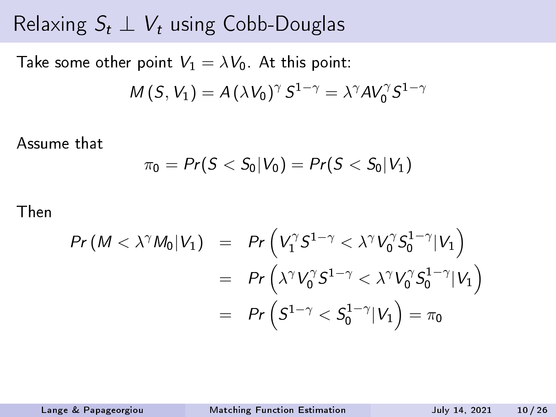Take some other point  $V_1 = \lambda V_0$ . At this point:

$$
M(S, V_1) = A(\lambda V_0)^{\gamma} S^{1-\gamma} = \lambda^{\gamma} A V_0^{\gamma} S^{1-\gamma}
$$

Assume that

$$
\pi_0 = Pr(S < S_0 | V_0) = Pr(S < S_0 | V_1)
$$

Then

$$
Pr(M < \lambda^{\gamma} M_0 | V_1) = Pr\left(V_1^{\gamma} S^{1-\gamma} < \lambda^{\gamma} V_0^{\gamma} S_0^{1-\gamma} | V_1\right)
$$
  
= 
$$
Pr\left(\lambda^{\gamma} V_0^{\gamma} S^{1-\gamma} < \lambda^{\gamma} V_0^{\gamma} S_0^{1-\gamma} | V_1\right)
$$
  
= 
$$
Pr\left(S^{1-\gamma} < S_0^{1-\gamma} | V_1\right) = \pi_0
$$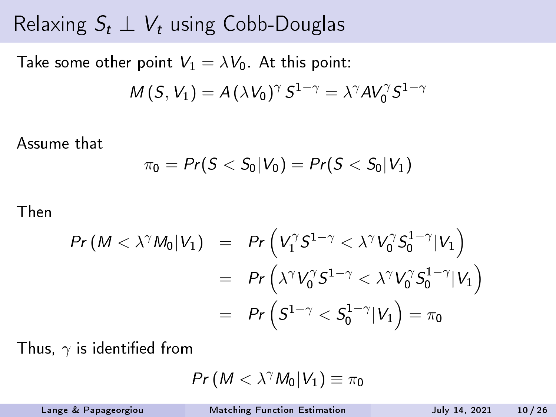Take some other point  $V_1 = \lambda V_0$ . At this point:

$$
M(S, V_1) = A(\lambda V_0)^{\gamma} S^{1-\gamma} = \lambda^{\gamma} A V_0^{\gamma} S^{1-\gamma}
$$

Assume that

$$
\pi_0 = Pr(S < S_0 | V_0) = Pr(S < S_0 | V_1)
$$

Then

$$
Pr(M < \lambda^{\gamma} M_0 | V_1) = Pr \left( V_1^{\gamma} S^{1-\gamma} < \lambda^{\gamma} V_0^{\gamma} S_0^{1-\gamma} | V_1 \right)
$$
  
= 
$$
Pr \left( \lambda^{\gamma} V_0^{\gamma} S^{1-\gamma} < \lambda^{\gamma} V_0^{\gamma} S_0^{1-\gamma} | V_1 \right)
$$
  
= 
$$
Pr \left( S^{1-\gamma} < S_0^{1-\gamma} | V_1 \right) = \pi_0
$$

Thus,  $\gamma$  is identified from

$$
\mathit{Pr}\left(\left.M<\lambda^{\gamma}M_0\right|V_1\right)\equiv\pi_0
$$

Lange & Papageorgiou [Matching Function Estimation](#page-0-0) July 14, 2021 10 / 26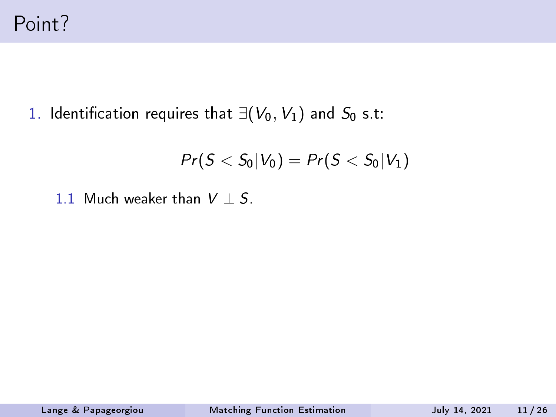1. Identification requires that  $\exists (V_0, V_1)$  and  $S_0$  s.t:

$$
Pr(S < S_0 | V_0) = Pr(S < S_0 | V_1)
$$

1.1 Much weaker than  $V \perp S$ .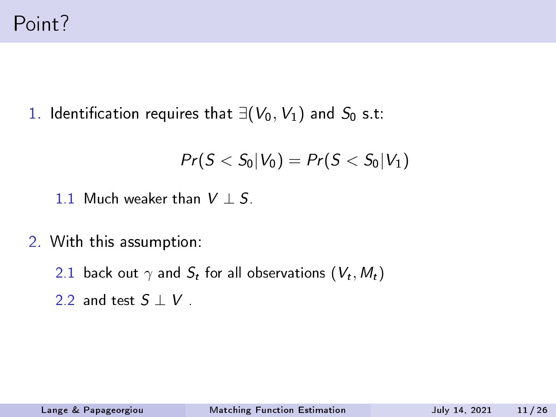1. Identification requires that  $∃(V_0, V_1)$  and  $S_0$  s.t:

$$
Pr(S < S_0 | V_0) = Pr(S < S_0 | V_1)
$$

- 1.1 Much weaker than  $V \perp S$ .
- 2. With this assumption:
	- 2.1 back out  $\gamma$  and  $S_t$  for all observations  $({V}_t, {M}_t)$
	- 2.2 and test  $S \perp V$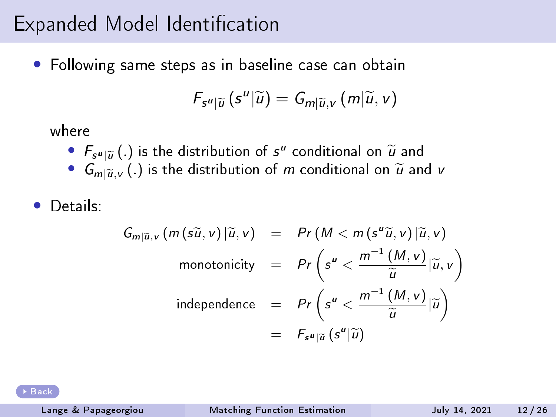#### Expanded Model Identification

• Following same steps as in baseline case can obtain

$$
F_{s^u|\widetilde{u}}(s^u|\widetilde{u})=G_{m|\widetilde{u},v}(m|\widetilde{u},v)
$$

where

- $F_{s^u|\tilde{u}}(.)$  is the distribution of  $s^u$  conditional on  $\tilde{u}$  and<br>•  $G_{\tilde{u}}(.)$  is the distribution of m conditional on  $\tilde{u}$  and
- $G_{m|\widetilde{u},\nu}$  (.) is the distribution of m conditional on  $\widetilde{u}$  and v
- Details:

$$
G_{m|\widetilde{u},v} (m(s\widetilde{u},v)|\widetilde{u},v) = Pr(M < m (s^u \widetilde{u},v)|\widetilde{u},v)
$$
  
monotonicity 
$$
= Pr\left(s^u < \frac{m^{-1}(M,v)}{\widetilde{u}}|\widetilde{u},v\right)
$$
  
independence 
$$
= Pr\left(s^u < \frac{m^{-1}(M,v)}{\widetilde{u}}|\widetilde{u}\right)
$$

$$
= F_{s^u|\widetilde{u}}(s^u|\widetilde{u})
$$

[Back](#page-75-0)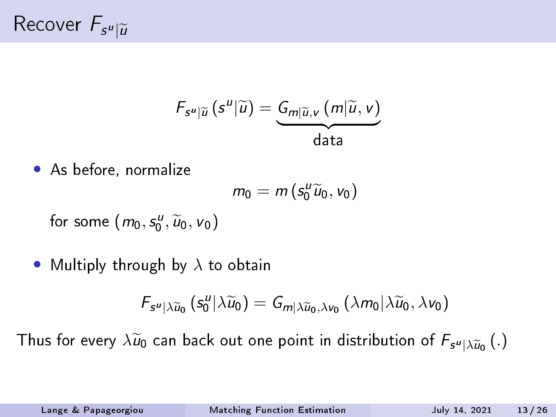$$
F_{s^u|\widetilde{u}}(s^u|\widetilde{u})=\underbrace{G_{m|\widetilde{u},v}(m|\widetilde{u},v)}_{\text{data}}
$$

• As before, normalize

$$
m_0=m\left(s_0^u\widetilde{u}_0,v_0\right)
$$

for some  $(m_0, s_0^u, \widetilde{u}_0, v_0)$ 

• Multiply through by  $\lambda$  to obtain

$$
F_{s^u|\lambda \widetilde{u}_0}(s_0^u|\lambda \widetilde{u}_0)=G_{m|\lambda \widetilde{u}_0,\lambda v_0}(\lambda m_0|\lambda \widetilde{u}_0,\lambda v_0)
$$

Thus for every  $\lambda \widetilde{u}_0$  can back out one point in distribution of  $F_{s''|\lambda \widetilde{u}_0} \left( . \right)$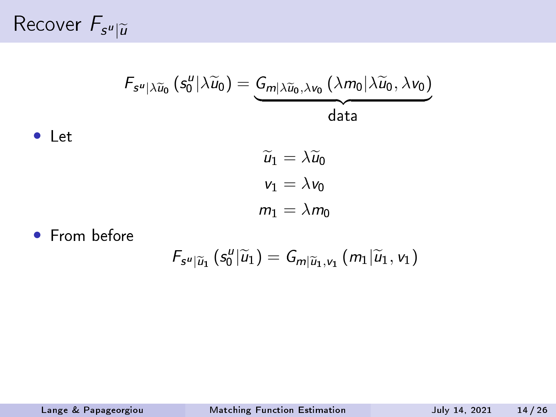Recover  $F_{s^u|\widetilde{u}}$ 

$$
F_{s^u|\lambda \widetilde{u}_0}(s_0^u|\lambda \widetilde{u}_0)=\underbrace{G_{m|\lambda \widetilde{u}_0,\lambda v_0}(\lambda m_0|\lambda \widetilde{u}_0,\lambda v_0)}_{\text{data}}
$$
\n\n- Let\n 
$$
\widetilde{u}_1 = \lambda \widetilde{u}_0
$$
\n
$$
v_1 = \lambda v_0
$$
\n
\n- From before
\n

$$
F_{s^u|\widetilde{u}_1}(s_0^u|\widetilde{u}_1)=G_{m|\widetilde{u}_1,v_1}(m_1|\widetilde{u}_1,v_1)
$$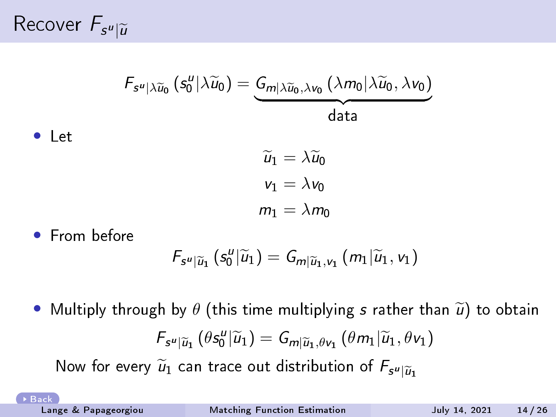Recover  $F_{s^u|\widetilde{u}}$ 

• Let

$$
\begin{aligned} \mathit{F}_{s^u|\lambda \widetilde{u}_0}\left(s_0^u|\lambda \widetilde{u}_0\right)= \underbrace{G_{m|\lambda \widetilde{u}_0,\lambda \nu_0}\left(\lambda m_0|\lambda \widetilde{u}_0,\lambda \nu_0\right)}_{\text{data}} \\ \widetilde{u}_1=\lambda \widetilde{u}_0 \\ \nu_1=\lambda \nu_0 \\ m_1=\lambda m_0 \end{aligned}
$$

• From before

$$
F_{s^u|\widetilde{u}_1}(s^u_0|\widetilde{u}_1)=G_{m|\widetilde{u}_1,v_1}(m_1|\widetilde{u}_1,v_1)
$$

• Multiply through by  $\theta$  (this time multiplying s rather than  $\tilde{u}$ ) to obtain  $F_{s^u|\widetilde{u}_1}(\theta s_0^u|\widetilde{u}_1)=G_{m|\widetilde{u}_1,\theta v_1}(\theta m_1|\widetilde{u}_1,\theta v_1)$ 

Now for every  $\widetilde u_1$  can trace out distribution of  $F_{\mathsf{s}^{\bm{u}}|\widetilde u_1}$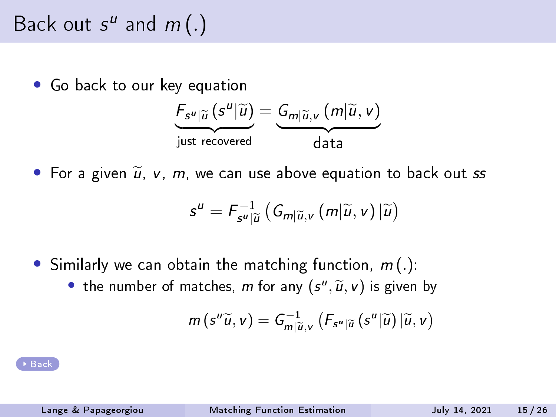### Back out  $s^u$  and  $m(.)$

Go back to our key equation

$$
\underbrace{F_{s^u|\widetilde{u}}(s^u|\widetilde{u})}_{\text{just recovered}} = \underbrace{G_{m|\widetilde{u},v}(m|\widetilde{u},v)}_{\text{data}}
$$

• For a given  $\widetilde{u}$ , v, m, we can use above equation to back out ss

$$
s^{u} = F_{s^{u}|\widetilde{u}}^{-1} \left( G_{m|\widetilde{u},v} \left( m|\widetilde{u},v \right) |\widetilde{u} \right)
$$

- Similarly we can obtain the matching function,  $m(.)$ :
	- the number of matches,  $m$  for any  $(s'', \widetilde{u}, v)$  is given by

$$
m\left(s^u\widetilde{u},v\right)=G_{m|\widetilde{u},v}^{-1}\left(F_{s^u|\widetilde{u}}\left(s^u|\widetilde{u}\right)|\widetilde{u},v\right)
$$

[Back](#page-75-0)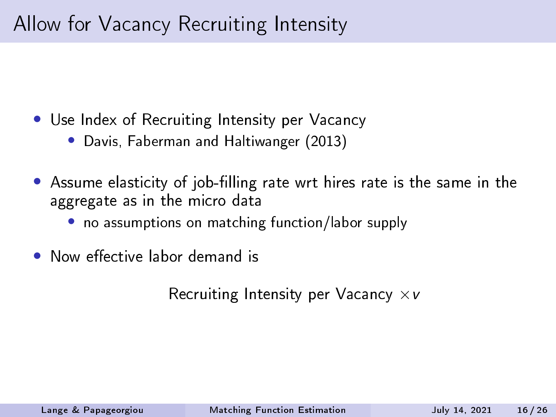#### Allow for Vacancy Recruiting Intensity

- Use Index of Recruiting Intensity per Vacancy
	- Davis, Faberman and Haltiwanger (2013)
- Assume elasticity of job-filling rate wrt hires rate is the same in the aggregate as in the micro data
	- no assumptions on matching function/labor supply
- Now effective labor demand is

Recruiting Intensity per Vacancy  $\times v$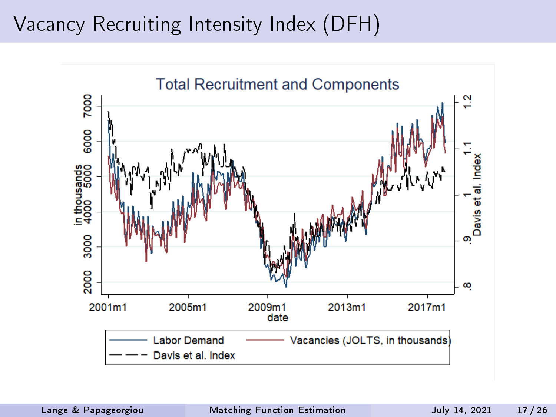#### Vacancy Recruiting Intensity Index (DFH)

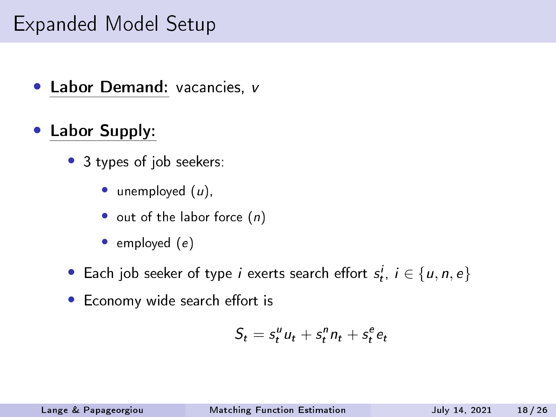#### Expanded Model Setup

- Labor Demand: vacancies, v
- Labor Supply:
	- 3 types of job seekers:
		- unemployed  $(u)$ ,
		- out of the labor force  $(n)$
		- $\bullet$  employed  $(e)$
	- Each job seeker of type *i* exerts search effort  $s_t^i$ ,  $i \in \{u, n, e\}$
	- Economy wide search effort is

$$
S_t = s_t^u u_t + s_t^n n_t + s_t^e e_t
$$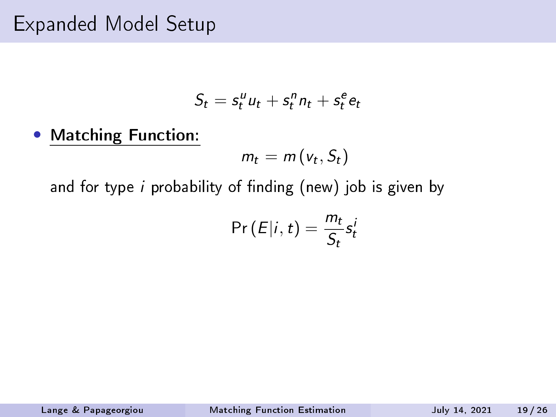#### Expanded Model Setup

$$
S_t = s_t^u u_t + s_t^n n_t + s_t^e e_t
$$

• Matching Function:

 $m_t = m(v_t, S_t)$ 

and for type  $i$  probability of finding (new) job is given by

$$
\Pr(E|i,t) = \frac{m_t}{S_t} s_t^i
$$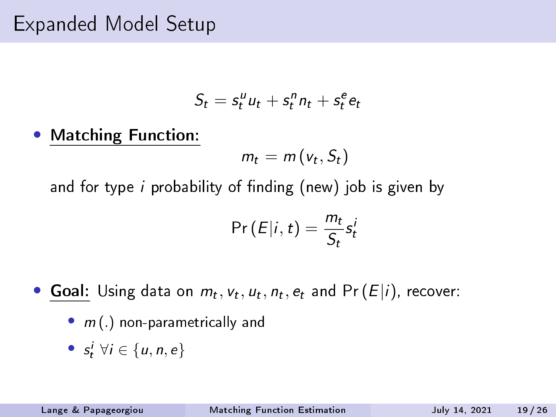#### Expanded Model Setup

$$
S_t = s_t^u u_t + s_t^n n_t + s_t^e e_t
$$

• Matching Function:

 $m_t = m(v_t, S_t)$ 

and for type  $i$  probability of finding (new) job is given by

$$
\Pr(E|i,t) = \frac{m_t}{S_t} s_t^i
$$

- Goal: Using data on  $m_t$ ,  $v_t$ ,  $u_t$ ,  $n_t$ ,  $e_t$  and Pr  $(E|i)$ , recover:
	- $m(.)$  non-parametrically and
	- $s_t^i \ \forall i \in \{u, n, e\}$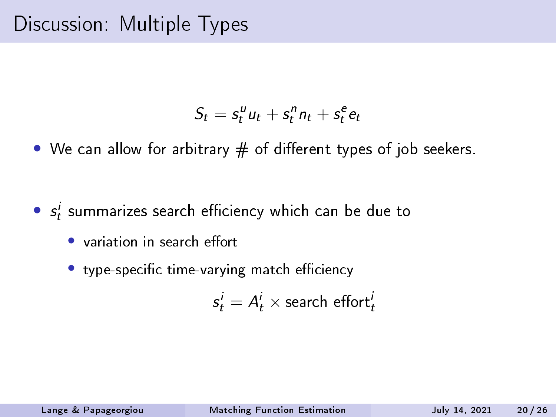$$
S_t = s_t^u u_t + s_t^n n_t + s_t^e e_t
$$

• We can allow for arbitrary  $#$  of different types of job seekers.

- $\bullet$   $s_t^i$  summarizes search efficiency which can be due to
	- $\bullet$  variation in search effort
	- type-specific time-varying match efficiency

$$
s^i_t = A^i_t \times \text{search effort}^i_t
$$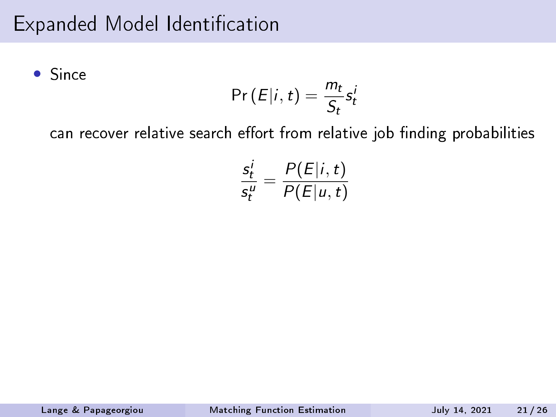### Expanded Model Identification

• Since

$$
\Pr(E|i,t) = \frac{m_t}{S_t} s_t^i
$$

can recover relative search effort from relative job finding probabilities

$$
\frac{s_t^i}{s_t^u} = \frac{P(E|i,t)}{P(E|u,t)}
$$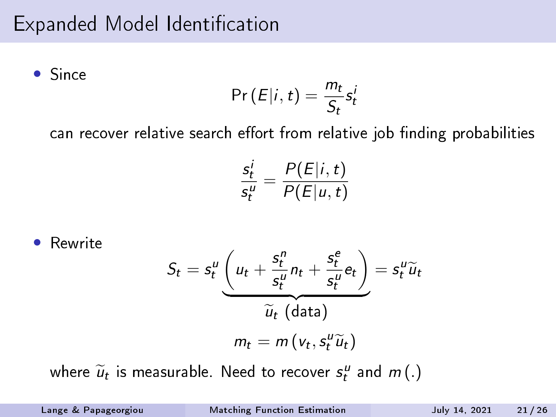### Expanded Model Identification

• Since

$$
\Pr(E|i,t) = \frac{m_t}{S_t} s_t^i
$$

can recover relative search effort from relative job finding probabilities

$$
\frac{s_t^i}{s_t^u} = \frac{P(E|i,t)}{P(E|u,t)}
$$

Rewrite  
\n
$$
S_t = s_t^u \underbrace{\left(u_t + \frac{s_t^n}{s_t^u} n_t + \frac{s_t^e}{s_t^u} e_t\right)}_{\widetilde{u}_t \text{ (data)}} = s_t^u \widetilde{u}_t
$$
\n
$$
m_t = m \left(v_t, s_t^u \widetilde{u}_t\right)
$$

where  $\widetilde{u}_t$  is measurable. Need to recover  $s_t^u$  and  $m(.)$ 

Lange & Papageorgiou [Matching Function Estimation](#page-0-0) July 14, 2021 21 / 26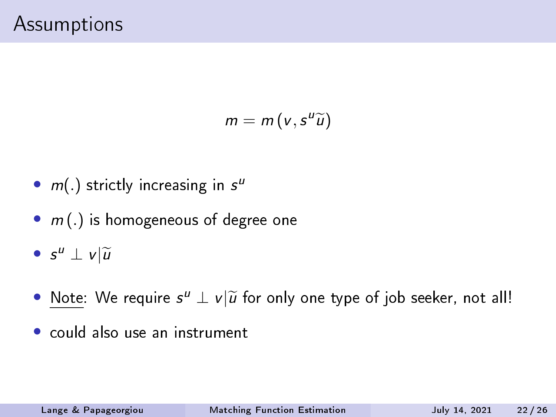$$
m=m(v,s^u\widetilde{u})
$$

- $m(.)$  strictly increasing in  $s^u$
- $m(.)$  is homogeneous of degree one
- $s^u \perp v \vert \widetilde{u}$
- <u>Note</u>: We require  $s^u \perp v | \widetilde{u}$  for only one type of job seeker, not all!
- could also use an instrument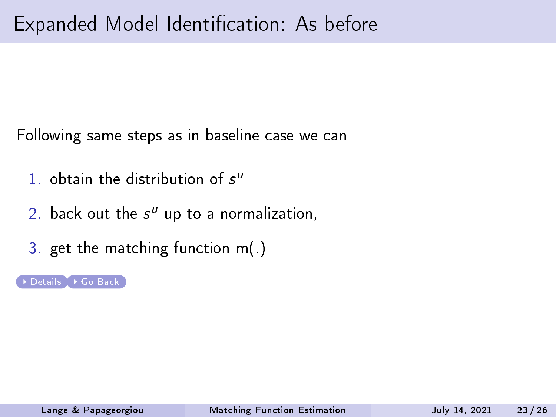Following same steps as in baseline case we can

- 1. obtain the distribution of  $s^u$
- 2. back out the  $s^u$  up to a normalization,
- 3. get the matching function m(.)

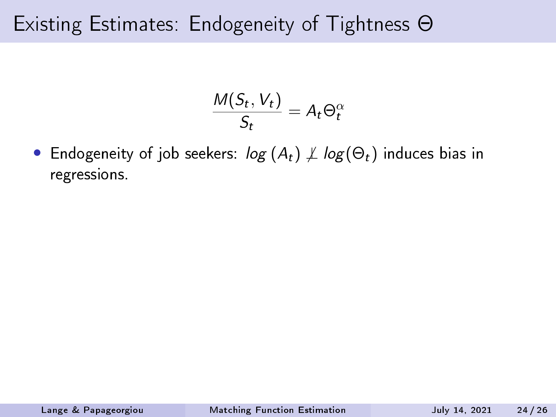## Existing Estimates: Endogeneity of Tightness Θ

$$
\frac{M(S_t, V_t)}{S_t} = A_t \Theta_t^{\alpha}
$$

• Endogeneity of job seekers:  $log(A_t) \not\perp log(\Theta_t)$  induces bias in regressions.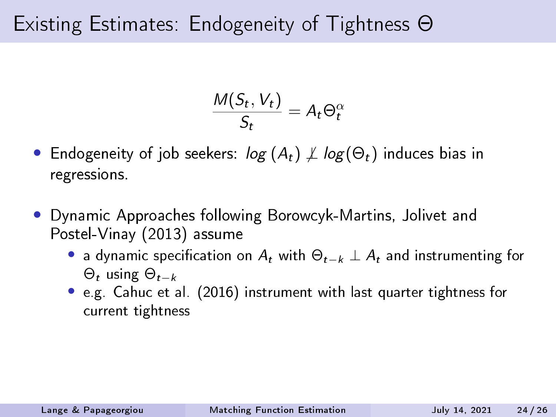# Existing Estimates: Endogeneity of Tightness Θ

$$
\frac{M(S_t, V_t)}{S_t} = A_t \Theta_t^{\alpha}
$$

- Endogeneity of job seekers:  $log(A_t) \not\perp log(\Theta_t)$  induces bias in regressions.
- Dynamic Approaches following Borowcyk-Martins, Jolivet and Postel-Vinay (2013) assume
	- a dynamic specification on  $A_t$  with  $\Theta_{t-k} \perp A_t$  and instrumenting for  $\Theta_t$  using  $\Theta_{t-k}$
	- e.g. Cahuc et al. (2016) instrument with last quarter tightness for current tightness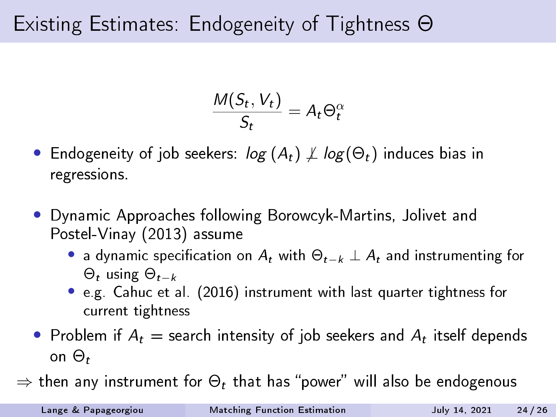# Existing Estimates: Endogeneity of Tightness Θ

$$
\frac{M(S_t, V_t)}{S_t} = A_t \Theta_t^{\alpha}
$$

- Endogeneity of job seekers:  $log(A_t) \not\perp log(\Theta_t)$  induces bias in regressions.
- Dynamic Approaches following Borowcyk-Martins, Jolivet and Postel-Vinay (2013) assume
	- a dynamic specification on  $A_t$  with  $\Theta_{t-k} \perp A_t$  and instrumenting for  $\Theta_t$  using  $\Theta_{t-k}$
	- e.g. Cahuc et al. (2016) instrument with last quarter tightness for current tightness
- Problem if  $A_t =$  search intensity of job seekers and  $A_t$  itself depends on  $\Theta_t$
- $\Rightarrow$  then any instrument for  $\Theta_t$  that has "power" will also be endogenous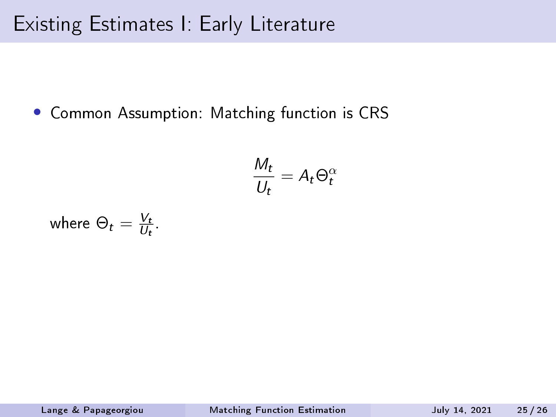• Common Assumption: Matching function is CRS

$$
\frac{M_t}{U_t} = A_t \Theta_t^{\alpha}
$$

where 
$$
\Theta_t = \frac{V_t}{U_t}
$$
.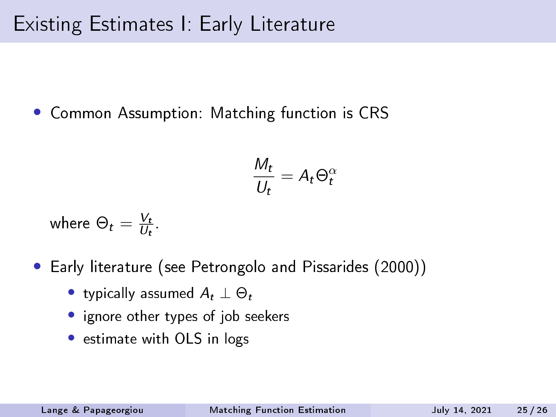• Common Assumption: Matching function is CRS

$$
\frac{M_t}{U_t} = A_t \Theta_t^{\alpha}
$$

where  $\Theta_t = \frac{V_t}{U_t}$  $\frac{V_t}{U_t}$ .

- Early literature (see Petrongolo and Pissarides (2000))
	- typically assumed  $A_t \perp \Theta_t$
	- ignore other types of job seekers
	- estimate with OLS in logs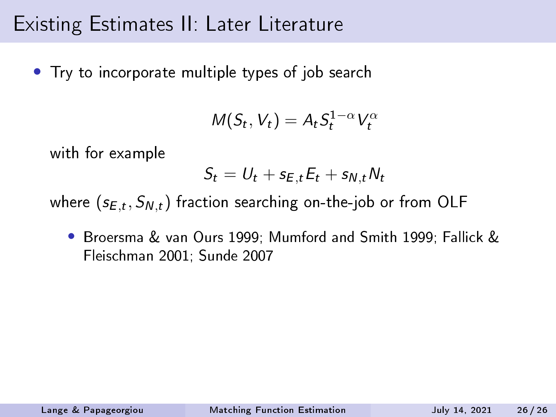# Existing Estimates II: Later Literature

• Try to incorporate multiple types of job search

$$
M(S_t, V_t) = A_t S_t^{1-\alpha} V_t^{\alpha}
$$

with for example

$$
S_t = U_t + s_{E,t} E_t + s_{N,t} N_t
$$

where  $(s_{E,t}, S_{N,t})$  fraction searching on-the-job or from OLF

• Broersma & van Ours 1999; Mumford and Smith 1999; Fallick & Fleischman 2001; Sunde 2007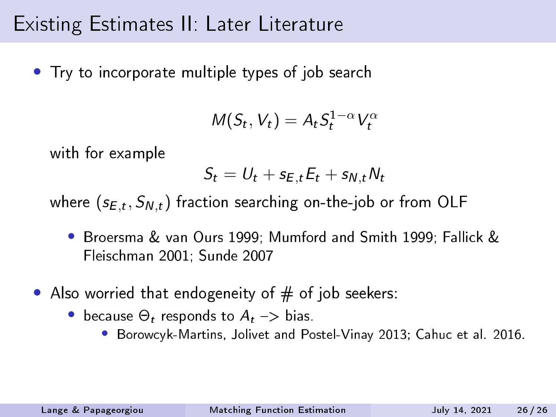# Existing Estimates II: Later Literature

• Try to incorporate multiple types of job search

$$
M(S_t, V_t) = A_t S_t^{1-\alpha} V_t^{\alpha}
$$

with for example

$$
S_t = U_t + s_{E,t} E_t + s_{N,t} N_t
$$

where  $(s_{E,t}, S_{N,t})$  fraction searching on-the-job or from OLF

- Broersma & van Ours 1999; Mumford and Smith 1999; Fallick & Fleischman 2001; Sunde 2007
- Also worried that endogeneity of  $#$  of job seekers:
	- because  $\Theta_t$  responds to  $A_t \rightarrow$  bias.
		- Borowcyk-Martins, Jolivet and Postel-Vinay 2013; Cahuc et al. 2016.